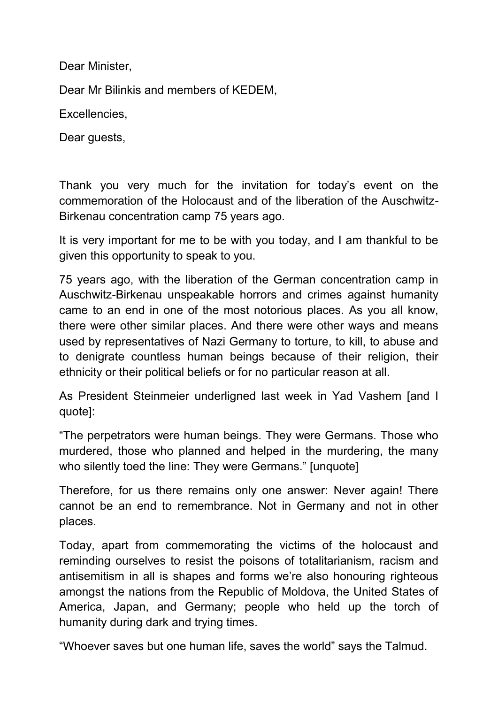Dear Minister,

Dear Mr Bilinkis and members of KEDEM,

Excellencies,

Dear quests,

Thank you very much for the invitation for today's event on the commemoration of the Holocaust and of the liberation of the Auschwitz-Birkenau concentration camp 75 years ago.

It is very important for me to be with you today, and I am thankful to be given this opportunity to speak to you.

75 years ago, with the liberation of the German concentration camp in Auschwitz-Birkenau unspeakable horrors and crimes against humanity came to an end in one of the most notorious places. As you all know, there were other similar places. And there were other ways and means used by representatives of Nazi Germany to torture, to kill, to abuse and to denigrate countless human beings because of their religion, their ethnicity or their political beliefs or for no particular reason at all.

As President Steinmeier underligned last week in Yad Vashem [and I quote]:

"The perpetrators were human beings. They were Germans. Those who murdered, those who planned and helped in the murdering, the many who silently toed the line: They were Germans." [unquote]

Therefore, for us there remains only one answer: Never again! There cannot be an end to remembrance. Not in Germany and not in other places.

Today, apart from commemorating the victims of the holocaust and reminding ourselves to resist the poisons of totalitarianism, racism and antisemitism in all is shapes and forms we're also honouring righteous amongst the nations from the Republic of Moldova, the United States of America, Japan, and Germany; people who held up the torch of humanity during dark and trying times.

"Whoever saves but one human life, saves the world" says the Talmud.